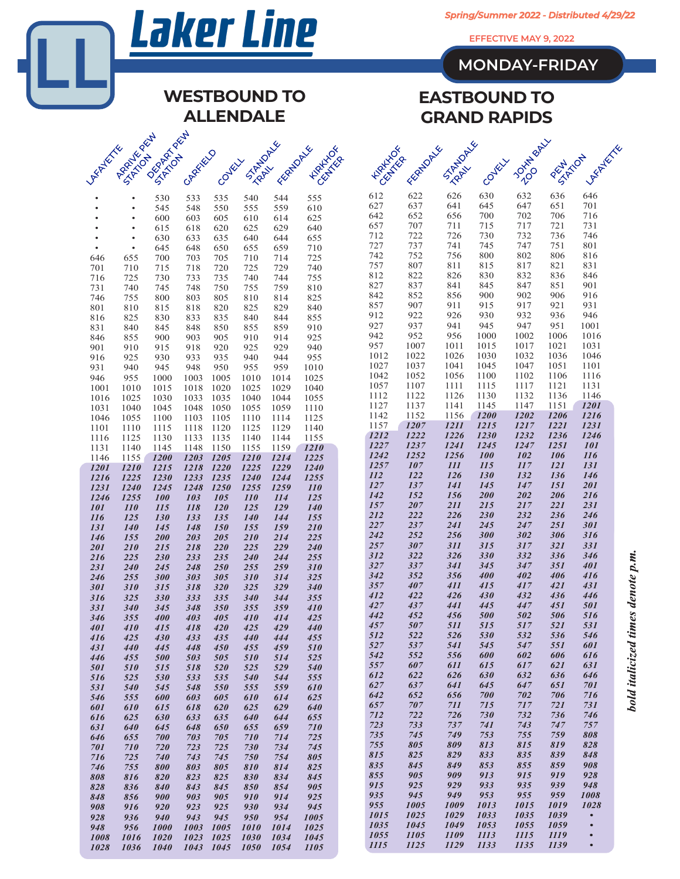|                                 | <b>Laker Line</b>              |                                |                         |                        |                          |                     |                   |  |                                                                                                     | Spring/Summer 2022 - Distributed 4/29/22 |                          |                                 |                      |                   |                        |            |  |  |  |
|---------------------------------|--------------------------------|--------------------------------|-------------------------|------------------------|--------------------------|---------------------|-------------------|--|-----------------------------------------------------------------------------------------------------|------------------------------------------|--------------------------|---------------------------------|----------------------|-------------------|------------------------|------------|--|--|--|
|                                 |                                |                                |                         |                        |                          |                     |                   |  | EFFECTIVE MAY 9, 2022                                                                               |                                          |                          |                                 |                      |                   |                        |            |  |  |  |
|                                 |                                |                                |                         |                        |                          |                     |                   |  |                                                                                                     |                                          |                          |                                 | <b>MONDAY-FRIDAY</b> |                   |                        |            |  |  |  |
|                                 |                                |                                |                         |                        |                          |                     |                   |  |                                                                                                     |                                          |                          |                                 |                      |                   |                        |            |  |  |  |
|                                 |                                |                                |                         |                        |                          | <b>WESTBOUND TO</b> |                   |  | <b>EASTBOUND TO</b><br><b>GRAND RAPIDS</b>                                                          |                                          |                          |                                 |                      |                   |                        |            |  |  |  |
|                                 |                                |                                |                         |                        | <b>ALLENDALE</b>         |                     |                   |  |                                                                                                     |                                          |                          |                                 |                      |                   |                        |            |  |  |  |
|                                 | <b>MARIANALIST</b>             | DERIVATION ROLL                |                         |                        |                          | STARTUPIKE          |                   |  | <b>JOURNAL</b><br><b>STRANDAW</b><br>FEATURES<br><b>HARLING</b><br><b>Astropherican</b><br>PENTATON |                                          |                          |                                 |                      |                   |                        |            |  |  |  |
| <b>ASPITEREE</b>                |                                |                                | GARRENTO                | Coyeux                 |                          | FEATURITY           | <b>HARLING</b>    |  |                                                                                                     |                                          |                          | Coykix                          |                      |                   |                        |            |  |  |  |
|                                 |                                |                                |                         |                        |                          |                     |                   |  | 612                                                                                                 | 622                                      | 626                      | 630                             | 632                  | 636               | 646                    |            |  |  |  |
|                                 |                                | 530<br>545                     | 533<br>548              | 535<br>550             | 540<br>555               | 544<br>559          | 555<br>610        |  | 627<br>642                                                                                          | 637<br>652                               | 641<br>656               | 645<br>700                      | 647<br>702           | 651<br>706        | 701<br>716             |            |  |  |  |
|                                 |                                | 600<br>615                     | 603<br>618              | 605<br>620             | 610<br>625               | 614<br>629          | 625<br>640        |  | 657<br>712                                                                                          | 707<br>722                               | 711<br>726               | 715<br>730                      | 717<br>732           | 721<br>736        | 731<br>746             |            |  |  |  |
|                                 | $\bullet$<br>$\bullet$         | 630<br>645                     | 633<br>648              | 635<br>650             | 640<br>655               | 644<br>659          | 655<br>710        |  | 727                                                                                                 | 737                                      | 741                      | 745                             | 747                  | 751               | 801                    |            |  |  |  |
| 646<br>701                      | 655<br>710                     | 700<br>715                     | 703<br>718              | 705<br>720             | 710<br>725               | 714<br>729          | 725<br>740        |  | 742<br>757                                                                                          | 752<br>807                               | 756<br>811               | 800<br>815                      | 802<br>817           | 806<br>821        | 816<br>831             |            |  |  |  |
| 716                             | 725                            | 730                            | 733                     | 735                    | 740                      | 744                 | 755               |  | 812<br>827                                                                                          | 822<br>837                               | 826<br>841               | 830<br>845                      | 832<br>847           | 836<br>851        | 846<br>901             |            |  |  |  |
| 731<br>746                      | 740<br>755                     | 745<br>800                     | 748<br>803              | 750<br>805             | 755<br>810               | 759<br>814          | 810<br>825        |  | 842                                                                                                 | 852                                      | 856                      | 900                             | 902                  | 906               | 916                    |            |  |  |  |
| 801<br>816                      | 810<br>825                     | 815<br>830                     | 818<br>833              | 820<br>835             | 825<br>840               | 829<br>844          | 840<br>855        |  | 857<br>912                                                                                          | 907<br>922                               | 911<br>926               | 915<br>930                      | 917<br>932           | 921<br>936        | 931<br>946             |            |  |  |  |
| 831                             | 840                            | 845                            | 848                     | 850                    | 855                      | 859                 | 910               |  | 927<br>942                                                                                          | 937<br>952                               | 941<br>956               | 945<br>1000                     | 947<br>1002          | 951<br>1006       | 1001<br>1016           |            |  |  |  |
| 846<br>901                      | 855<br>910                     | 900<br>915                     | 903<br>918              | 905<br>920             | 910<br>925               | 914<br>929          | 925<br>940        |  | 957                                                                                                 | 1007                                     | 1011                     | 1015                            | 1017                 | 1021              | 1031                   |            |  |  |  |
| 916<br>931                      | 925<br>940                     | 930<br>945                     | 933<br>948              | 935<br>950             | 940<br>955               | 944<br>959          | 955<br>1010       |  | 1012<br>1027                                                                                        | 1022<br>1037                             | 1026<br>1041             | 1030<br>1045                    | 1032<br>1047         | 1036<br>1051      | 1046<br>1101           |            |  |  |  |
| 946                             | 955                            | 1000                           | 1003                    | 1005                   | 1010                     | 1014                | 1025              |  | 1042<br>1057                                                                                        | 1052<br>1107                             | 1056<br>1111             | 1100<br>1115                    | 1102<br>1117         | 1106<br>1121      | 1116<br>1131           |            |  |  |  |
| 1001<br>1016                    | 1010<br>1025                   | 1015<br>1030                   | 1018<br>1033            | 1020<br>1035           | 1025<br>1040             | 1029<br>1044        | 1040<br>1055      |  | 1112                                                                                                | 1122                                     | 1126                     | 1130                            | 1132                 | 1136              | 1146                   |            |  |  |  |
| 1031<br>1046                    | 1040<br>1055                   | 1045<br>1100                   | 1048<br>1103            | 1050<br>1105           | 1055<br>1110             | 1059<br>1114        | 1110<br>1125      |  | 1127<br>1142                                                                                        | 1137<br>1152                             | 1141<br>1156             | 1145<br><b>1200</b>             | 1147<br>1202         | 1151<br>1206      | <i>1201</i><br>1216    |            |  |  |  |
| 1101                            | 1110                           | 1115                           | 1118                    | 1120                   | 1125                     | 1129                | 1140              |  | 1157<br>1212                                                                                        | 1207<br>1222                             | <i>1211</i><br>1226      | <i>1215</i><br>1230             | 1217<br>1232         | 1221<br>1236      | 1231<br>1246           |            |  |  |  |
| 1116<br>1131                    | 1125<br>1140                   | 1130<br>1145                   | 1133<br>1148            | 1135<br>1150           | 1140<br>1155             | 1144<br>1159        | 1155<br>1210      |  | 1227                                                                                                | 1237                                     | <i>1241</i>              | 1245                            | 1247                 | <i>1251</i>       | <b>101</b>             |            |  |  |  |
| 1146<br>1201                    | 1155<br>1210                   | <b>1200</b><br>1215            | 1203<br>1218            | 1205<br><b>1220</b>    | 1210<br>1225             | 1214<br>1229        | 1225<br>1240      |  | 1242<br>1257                                                                                        | 1252<br>107                              | 1256<br><i>111</i>       | <i><b>100</b></i><br><i>115</i> | 102<br>117           | 106<br><i>121</i> | 116<br>131             |            |  |  |  |
| 1216                            | 1225                           | 1230                           | 1233                    | 1235                   | 1240                     | 1244                | 1255              |  | <i>112</i><br>127                                                                                   | 122<br>137                               | <b>126</b><br><i>141</i> | <i>130</i><br>145               | 132<br>147           | 136<br>151        | 146<br>201             |            |  |  |  |
| 1231<br>1246                    | 1240<br>1255                   | 1245<br>100                    | 1248<br>103             | 1250<br>105            | 1255<br><i>110</i>       | 1259<br><i>114</i>  | <b>110</b><br>125 |  | 142                                                                                                 | 152                                      | 156                      | 200                             | 202                  | 206               | 216                    |            |  |  |  |
| <i><b>101</b></i><br><i>116</i> | $\overline{110}$<br><i>125</i> | $\overline{115}$<br><i>130</i> | $\overline{118}$<br>133 | <i>120</i><br>135      | <i>125</i><br><b>140</b> | <i>129</i><br>144   | <i>140</i><br>155 |  | 157<br>212                                                                                          | 207<br>222                               | 211<br>226               | 215<br><b>230</b>               | 217<br>232           | 221<br>236        | 231<br>246             |            |  |  |  |
| 131                             | 140                            | 145                            | 148                     | 150                    | 155                      | 159                 | 210               |  | 227<br>242                                                                                          | 237<br>252                               | <b>241</b><br>256        | 245<br>300                      | 247<br>302           | 251<br>306        | 301<br>316             |            |  |  |  |
| 146<br>201                      | 155<br>210                     | 200<br>215                     | 203<br>218              | 205<br>220             | 210<br>225               | 214<br>229          | 225<br>240        |  | 257                                                                                                 | 307                                      | <i>311</i>               | 315                             | 317                  | 321               | 331                    |            |  |  |  |
| 216<br>231                      | 225<br>240                     | 230<br>245                     | 233<br>248              | 235<br>250             | 240<br>255               | 244<br>259          | 255<br>310        |  | 312<br>327                                                                                          | 322<br>337                               | 326<br>341               | 330<br>345                      | 332<br>347           | 336<br>351        | 346<br>401             | m          |  |  |  |
| 246                             | 255                            | 300                            | 303                     | 305                    | <b>310</b>               | 314                 | 325               |  | 342<br>357                                                                                          | 352<br>407                               | 356<br>411               | 400<br>415                      | 402<br>417           | 406<br>421        | 416<br>431             |            |  |  |  |
| 301<br>316                      | 310<br>325                     | 315<br>330                     | 318<br>333              | 320<br>335             | 325<br>340               | 329<br>344          | 340<br>355        |  | 412                                                                                                 | 422                                      | 426                      | 430                             | 432                  | 436               | 446                    | denote     |  |  |  |
| 331<br>346                      | 340<br>355                     | 345<br>400                     | 348<br>403              | <b>350</b><br>405      | 355<br>410               | 359<br>414          | 410<br>425        |  | 427<br>442                                                                                          | 437<br>452                               | 441<br>456               | 445<br>500                      | 447<br>502           | 451<br>506        | 501<br>516             |            |  |  |  |
| 401                             | 410                            | 415                            | 418                     | 420                    | 425                      | 429                 | 440               |  | 457<br>512                                                                                          | 507<br>522                               | 511<br>526               | 515<br>530                      | 517<br>532           | 521<br>536        | 531<br>546             | timos      |  |  |  |
| 416<br>431                      | 425<br>440                     | 430<br>445                     | 433<br>448              | 435<br>450             | 440<br>455               | 444<br>459          | 455<br>510        |  | 527                                                                                                 | 537                                      | 541                      | 545                             | 547                  | 551               | 601                    |            |  |  |  |
| 446<br>501                      | 455<br>510                     | 500<br>515                     | 503<br>518              | 505<br>520             | <i><b>510</b></i><br>525 | 514<br>529          | 525<br>540        |  | 542<br>557                                                                                          | 552<br>607                               | 556<br>611               | 600<br>615                      | 602<br>617           | 606<br>621        | 616<br>631             | italicized |  |  |  |
| 516                             | 525                            | 530                            | 533                     | 535                    | 540                      | 544                 | 555               |  | 612<br>627                                                                                          | 622<br>637                               | 626<br>641               | 630<br>645                      | 632<br>647           | 636<br>651        | 646<br>701             |            |  |  |  |
| 531<br>546                      | 540<br>555                     | 545<br>600                     | 548<br>603              | 550<br>605             | 555<br>610               | 559<br>614          | 610<br>625        |  | 642                                                                                                 | 652                                      | 656                      | 700                             | 702                  | 706               | 716                    | hold       |  |  |  |
| 601<br>616                      | 610<br>625                     | 615<br>630                     | 618<br>633              | 620<br>635             | 625<br>640               | 629<br>644          | 640<br>655        |  | 657<br>712                                                                                          | 707<br>722                               | 711<br>726               | 715<br>730                      | 717<br>732           | 721<br>736        | 731<br>746             |            |  |  |  |
| 631                             | 640                            | 645                            | 648                     | 650                    | 655                      | 659                 | 710               |  | 723<br>735                                                                                          | 733                                      | 737<br>749               | 741<br>753                      | 743<br>755           | 747<br>759        | 757                    |            |  |  |  |
| 646<br>701                      | 655<br>710                     | 700<br>720                     | 703<br>723              | 705<br>725             | 710<br>730               | 714<br>734          | 725<br>745        |  | 755                                                                                                 | 745<br>805                               | 809                      | 813                             | 815                  | 819               | 808<br>828             |            |  |  |  |
| 716<br>746                      | 725<br>755                     | 740<br>800                     | 743<br>803              | 745<br>805             | 750<br>810               | 754<br>814          | 805<br>825        |  | 815<br>835                                                                                          | 825<br>845                               | 829<br>849               | 833<br>853                      | 835<br>855           | 839<br>859        | 848<br>908             |            |  |  |  |
| 808                             | 816                            | 820                            | 823                     | 825                    | 830                      | 834                 | 845               |  | 855                                                                                                 | 905<br>925                               | 909<br>929               | 913<br>933                      | 915<br>935           | 919<br>939        | 928<br>948             |            |  |  |  |
| 828<br>848                      | 836<br>856                     | 840<br>900                     | 843<br>903              | 845<br>905             | 850<br>910               | 854<br>914          | 905<br>925        |  | 915<br>935                                                                                          | 945                                      | 949                      | 953                             | 955                  | 959               | 1008                   |            |  |  |  |
| 908<br>928                      | 916<br>936                     | 920<br>940                     | 923<br>943              | 925<br>945             | 930<br>950               | 934<br>954          | 945<br>1005       |  | 955<br>1015                                                                                         | 1005<br>1025                             | 1009<br>1029             | 1013<br>1033                    | 1015<br>1035         | 1019<br>1039      | 1028<br>$\bullet$      |            |  |  |  |
| 948                             | 956                            | 1000                           | 1003                    | 1005                   | 1010                     | 1014                | 1025              |  | 1035                                                                                                | 1045                                     | 1049                     | 1053                            | 1055                 | 1059              | $\bullet$              |            |  |  |  |
| 1008<br>1028                    | 1016<br>1036                   | 1020<br>1040                   | 1023                    | 1025<br>1043 1045 1050 | 1030                     | 1034<br>1054        | 1045<br>1105      |  | 1055<br><i>1115</i>                                                                                 | 1105<br>1125                             | 1109<br>1129             | 1113<br>1133                    | 1115<br>1135         | 1119<br>1139      | $\bullet$<br>$\bullet$ |            |  |  |  |

bold italicized times denote p.m.